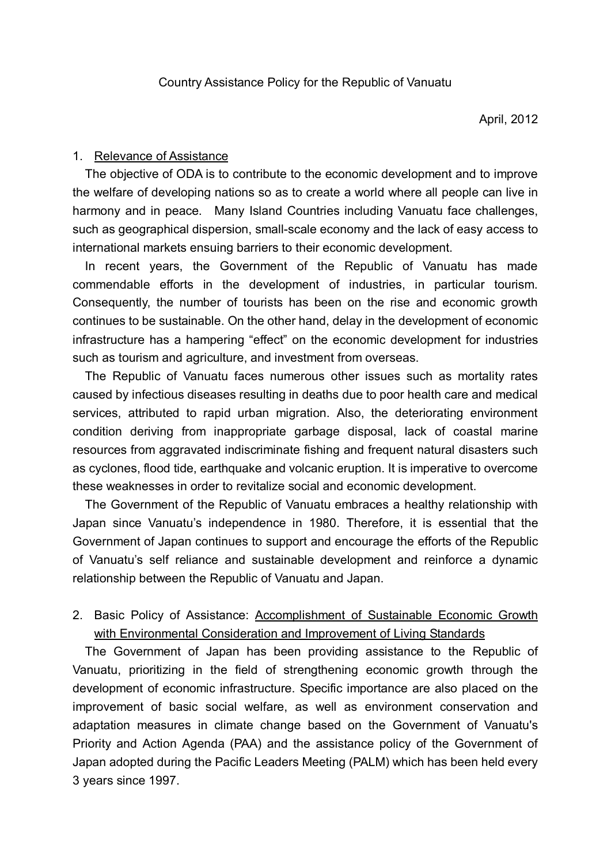# 1. Relevance of Assistance

The objective of ODA is to contribute to the economic development and to improve the welfare of developing nations so as to create a world where all people can live in harmony and in peace. Many Island Countries including Vanuatu face challenges, such as geographical dispersion, small-scale economy and the lack of easy access to international markets ensuing barriers to their economic development.

In recent years, the Government of the Republic of Vanuatu has made commendable efforts in the development of industries, in particular tourism. Consequently, the number of tourists has been on the rise and economic growth continues to be sustainable. On the other hand, delay in the development of economic infrastructure has a hampering "effect" on the economic development for industries such as tourism and agriculture, and investment from overseas.

The Republic of Vanuatu faces numerous other issues such as mortality rates caused by infectious diseases resulting in deaths due to poor health care and medical services, attributed to rapid urban migration. Also, the deteriorating environment condition deriving from inappropriate garbage disposal, lack of coastal marine resources from aggravated indiscriminate fishing and frequent natural disasters such as cyclones, flood tide, earthquake and volcanic eruption. It is imperative to overcome these weaknesses in order to revitalize social and economic development.

The Government of the Republic of Vanuatu embraces a healthy relationship with Japan since Vanuatu's independence in 1980. Therefore, it is essential that the Government of Japan continues to support and encourage the efforts of the Republic of Vanuatu's self reliance and sustainable development and reinforce a dynamic relationship between the Republic of Vanuatu and Japan.

# 2. Basic Policy of Assistance: Accomplishment of Sustainable Economic Growth with Environmental Consideration and Improvement of Living Standards

The Government of Japan has been providing assistance to the Republic of Vanuatu, prioritizing in the field of strengthening economic growth through the development of economic infrastructure. Specific importance are also placed on the improvement of basic social welfare, as well as environment conservation and adaptation measures in climate change based on the Government of Vanuatu's Priority and Action Agenda (PAA) and the assistance policy of the Government of Japan adopted during the Pacific Leaders Meeting (PALM) which has been held every 3 years since 1997.